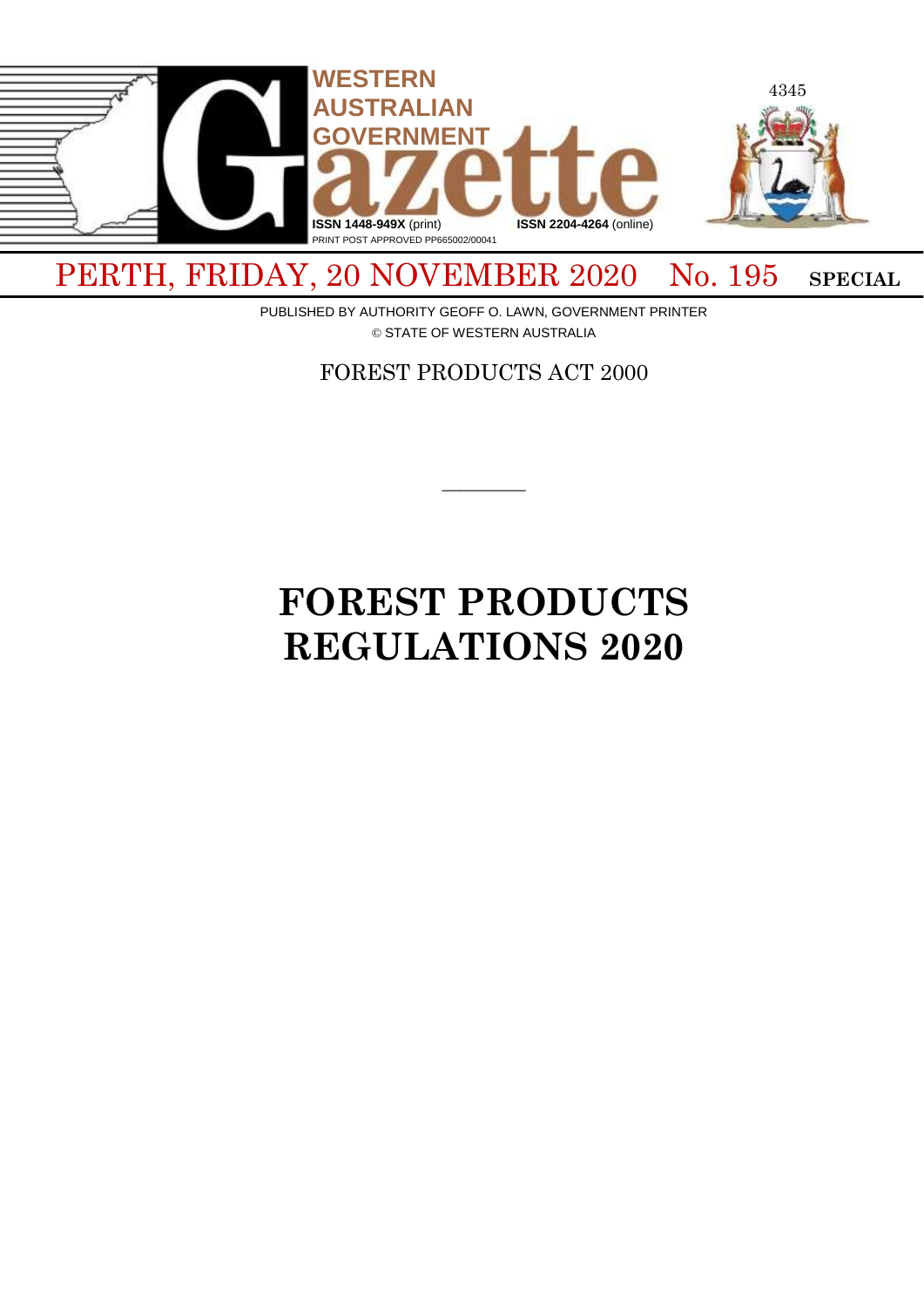

# PERTH, FRIDAY, 20 NOVEMBER 2020 No. 195 SPECIAL

PUBLISHED BY AUTHORITY GEOFF O. LAWN, GOVERNMENT PRINTER © STATE OF WESTERN AUSTRALIA

FOREST PRODUCTS ACT 2000

 $\overline{\phantom{a}}$ 

# **FOREST PRODUCTS REGULATIONS 2020**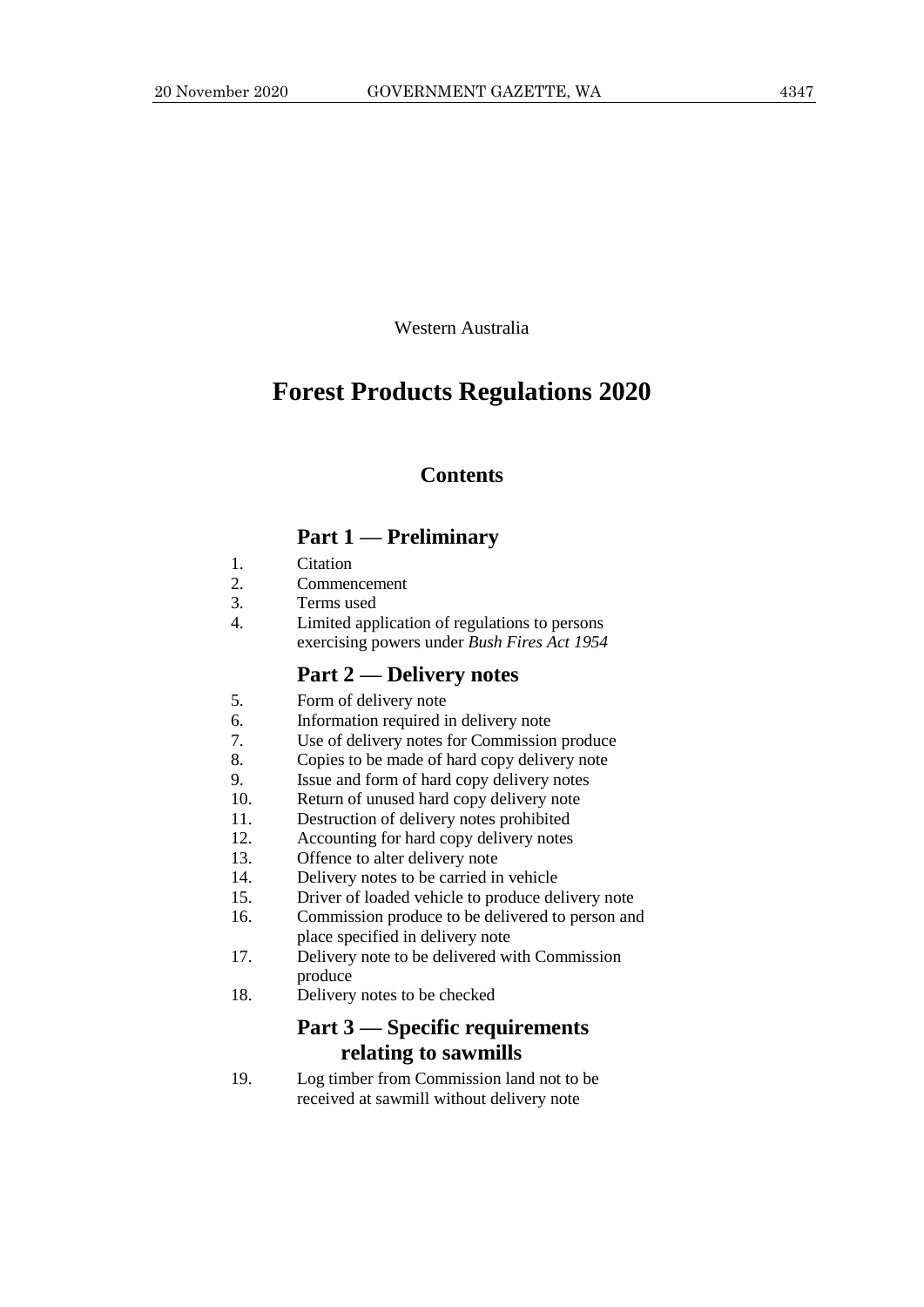Western Australia

# **Forest Products Regulations 2020**

## **Contents**

# **Part 1 — Preliminary**

- 1. Citation
- 2. Commencement
- 3. Terms used
- 4. Limited application of regulations to persons exercising powers under *Bush Fires Act 1954*

#### **Part 2 — Delivery notes**

- 5. Form of delivery note
- 6. Information required in delivery note
- 7. Use of delivery notes for Commission produce
- 8. Copies to be made of hard copy delivery note
- 9. Issue and form of hard copy delivery notes
- 10. Return of unused hard copy delivery note
- 11. Destruction of delivery notes prohibited
- 12. Accounting for hard copy delivery notes
- 13. Offence to alter delivery note
- 14. Delivery notes to be carried in vehicle
- 15. Driver of loaded vehicle to produce delivery note
- 16. Commission produce to be delivered to person and place specified in delivery note
- 17. Delivery note to be delivered with Commission produce
- 18. Delivery notes to be checked

# **Part 3 — Specific requirements relating to sawmills**

19. Log timber from Commission land not to be received at sawmill without delivery note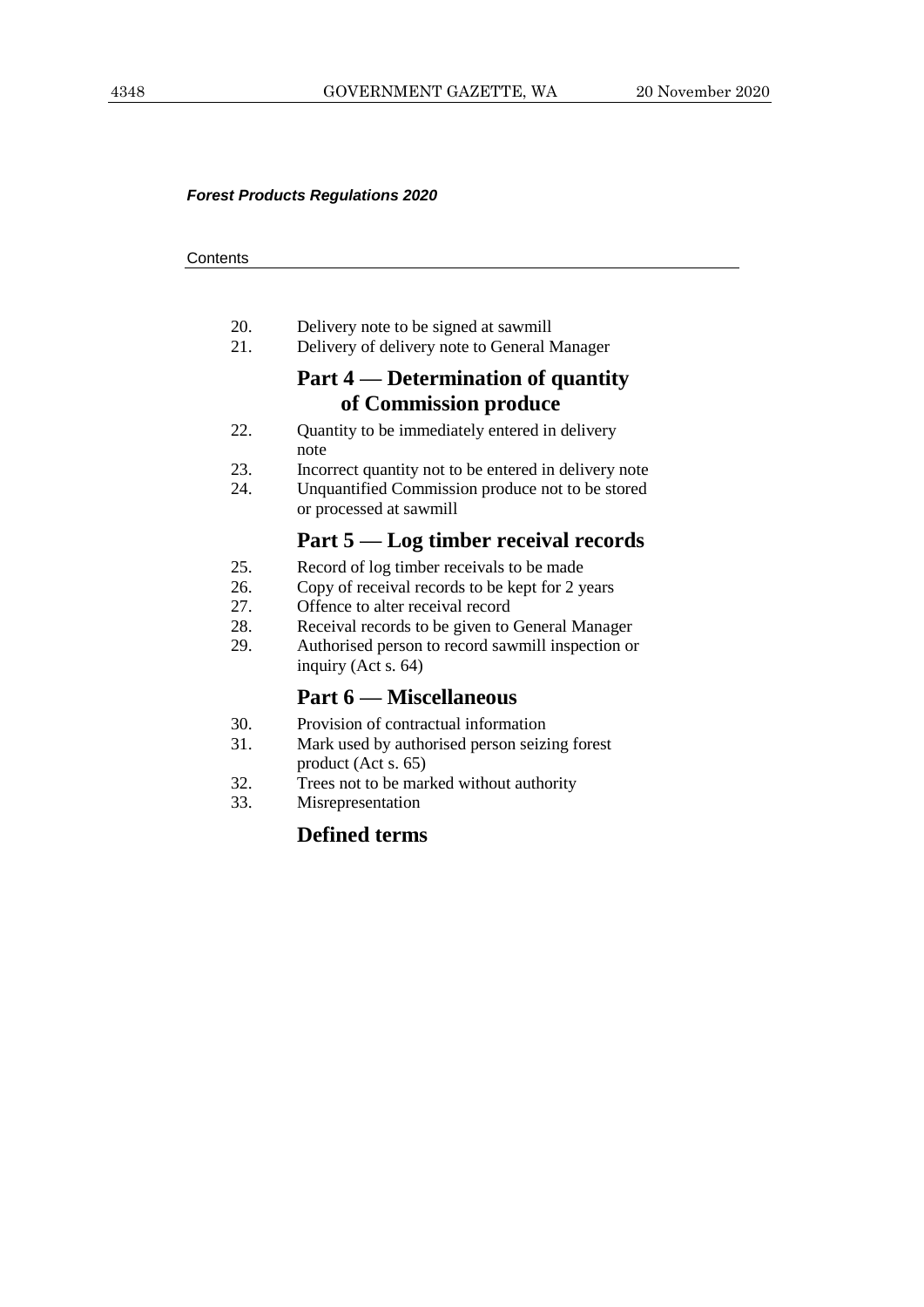#### *Forest Products Regulations 2020*

#### **Contents**

- 20. Delivery note to be signed at sawmill
- 21. Delivery of delivery note to General Manager

# **Part 4 — Determination of quantity of Commission produce**

- 22. Quantity to be immediately entered in delivery note
- 23. Incorrect quantity not to be entered in delivery note<br>24 Unquantified Commission produce not to be stored
- Unquantified Commission produce not to be stored or processed at sawmill

# **Part 5 — Log timber receival records**

- 25. Record of log timber receivals to be made
- 26. Copy of receival records to be kept for 2 years
- 27. Offence to alter receival record
- 28. Receival records to be given to General Manager
- 29. Authorised person to record sawmill inspection or inquiry (Act s. 64)

# **Part 6 — Miscellaneous**

- 30. Provision of contractual information
- 31. Mark used by authorised person seizing forest product (Act s. 65)
- 32. Trees not to be marked without authority
- 33. Misrepresentation

# **Defined terms**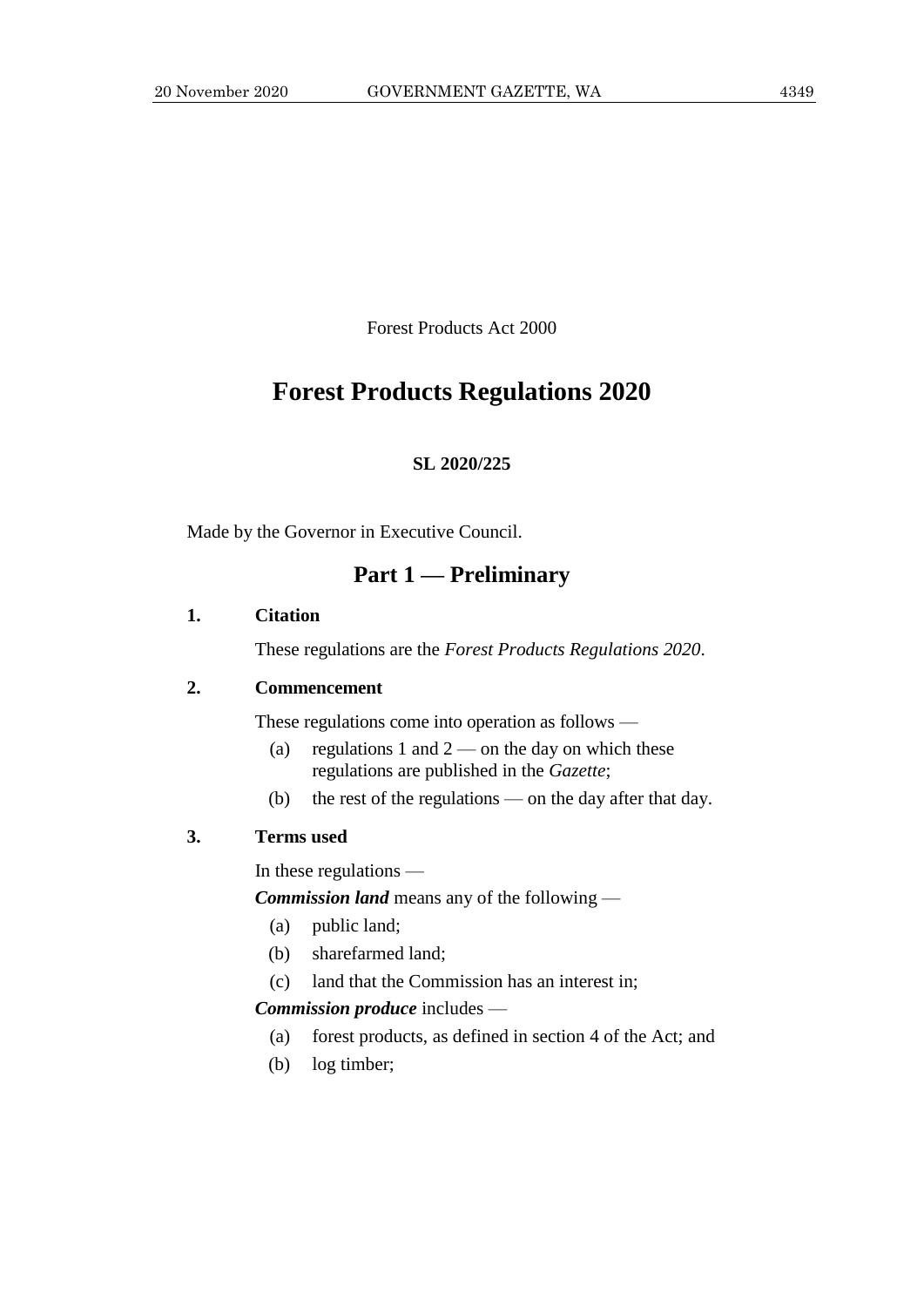Forest Products Act 2000

# **Forest Products Regulations 2020**

#### **SL 2020/225**

Made by the Governor in Executive Council.

# **Part 1 — Preliminary**

#### **1. Citation**

These regulations are the *Forest Products Regulations 2020*.

#### **2. Commencement**

These regulations come into operation as follows —

- (a) regulations 1 and  $2$  on the day on which these regulations are published in the *Gazette*;
- (b) the rest of the regulations on the day after that day.

#### **3. Terms used**

In these regulations —

*Commission land* means any of the following —

- (a) public land;
- (b) sharefarmed land;
- (c) land that the Commission has an interest in;

#### *Commission produce* includes —

- (a) forest products, as defined in section 4 of the Act; and
- (b) log timber;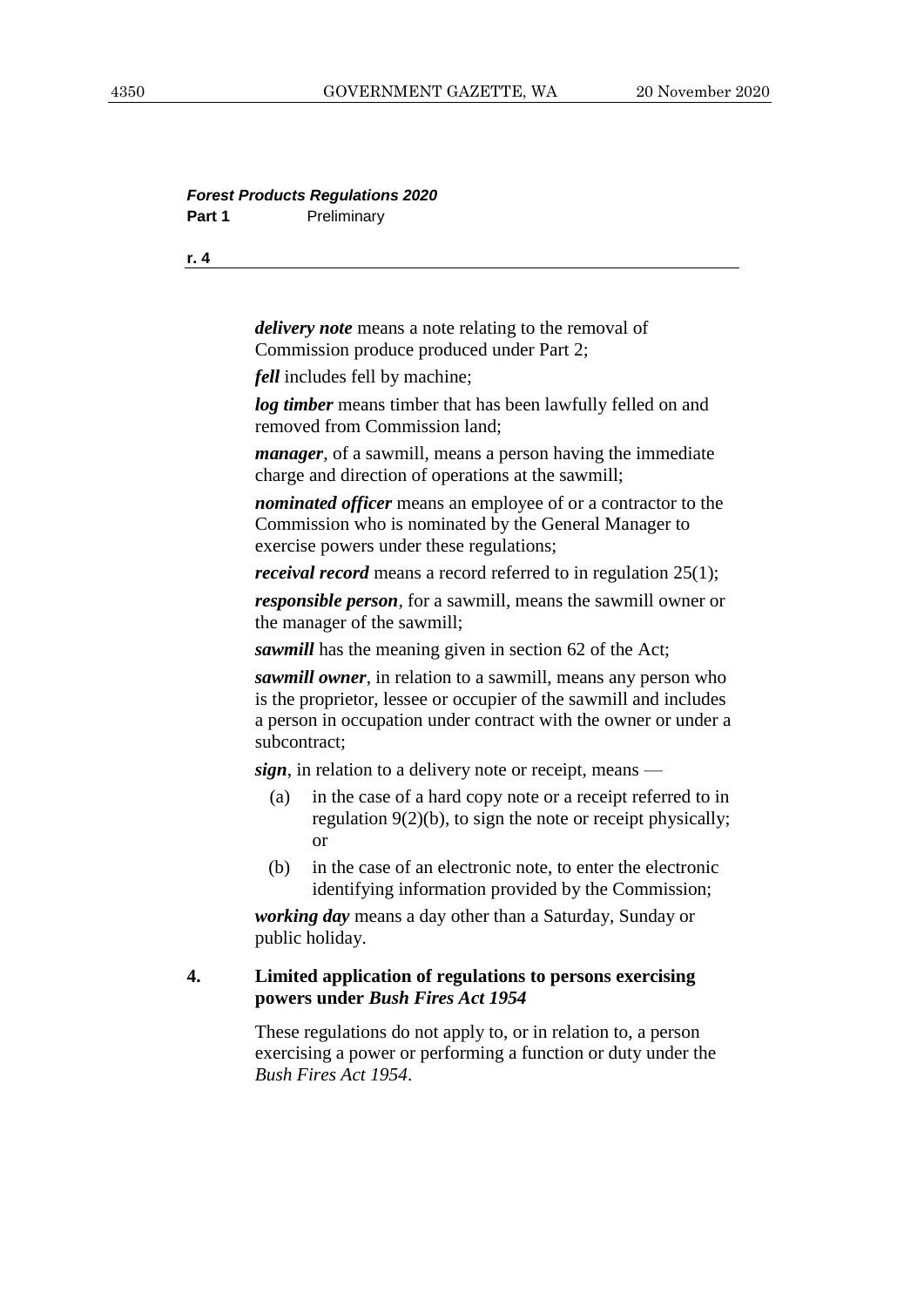#### *Forest Products Regulations 2020* Part 1 **Preliminary**

**r. 4**

*delivery note* means a note relating to the removal of Commission produce produced under Part 2;

*fell* includes fell by machine;

*log timber* means timber that has been lawfully felled on and removed from Commission land;

*manager*, of a sawmill, means a person having the immediate charge and direction of operations at the sawmill;

*nominated officer* means an employee of or a contractor to the Commission who is nominated by the General Manager to exercise powers under these regulations;

*receival record* means a record referred to in regulation 25(1);

*responsible person*, for a sawmill, means the sawmill owner or the manager of the sawmill;

*sawmill* has the meaning given in section 62 of the Act;

*sawmill owner*, in relation to a sawmill, means any person who is the proprietor, lessee or occupier of the sawmill and includes a person in occupation under contract with the owner or under a subcontract;

*sign*, in relation to a delivery note or receipt, means —

- (a) in the case of a hard copy note or a receipt referred to in regulation 9(2)(b), to sign the note or receipt physically; or
- (b) in the case of an electronic note, to enter the electronic identifying information provided by the Commission;

*working day* means a day other than a Saturday, Sunday or public holiday.

#### **4. Limited application of regulations to persons exercising powers under** *Bush Fires Act 1954*

These regulations do not apply to, or in relation to, a person exercising a power or performing a function or duty under the *Bush Fires Act 1954*.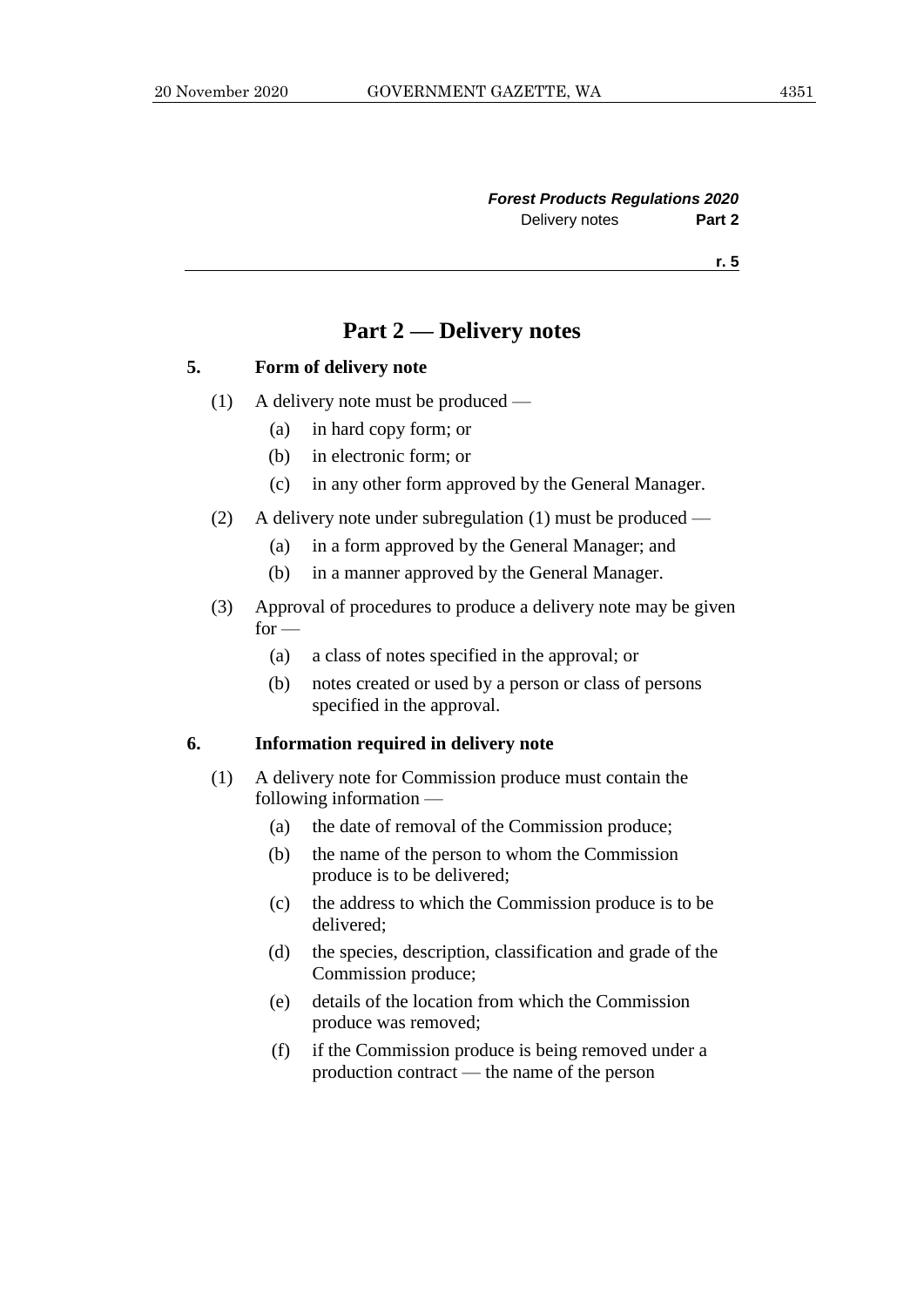# **Part 2 — Delivery notes**

#### **5. Form of delivery note**

- (1) A delivery note must be produced
	- (a) in hard copy form; or
	- (b) in electronic form; or
	- (c) in any other form approved by the General Manager.
- (2) A delivery note under subregulation (1) must be produced
	- (a) in a form approved by the General Manager; and
	- (b) in a manner approved by the General Manager.
- (3) Approval of procedures to produce a delivery note may be given  $for -$ 
	- (a) a class of notes specified in the approval; or
	- (b) notes created or used by a person or class of persons specified in the approval.

#### **6. Information required in delivery note**

- (1) A delivery note for Commission produce must contain the following information —
	- (a) the date of removal of the Commission produce;
	- (b) the name of the person to whom the Commission produce is to be delivered;
	- (c) the address to which the Commission produce is to be delivered;
	- (d) the species, description, classification and grade of the Commission produce;
	- (e) details of the location from which the Commission produce was removed;
	- (f) if the Commission produce is being removed under a production contract — the name of the person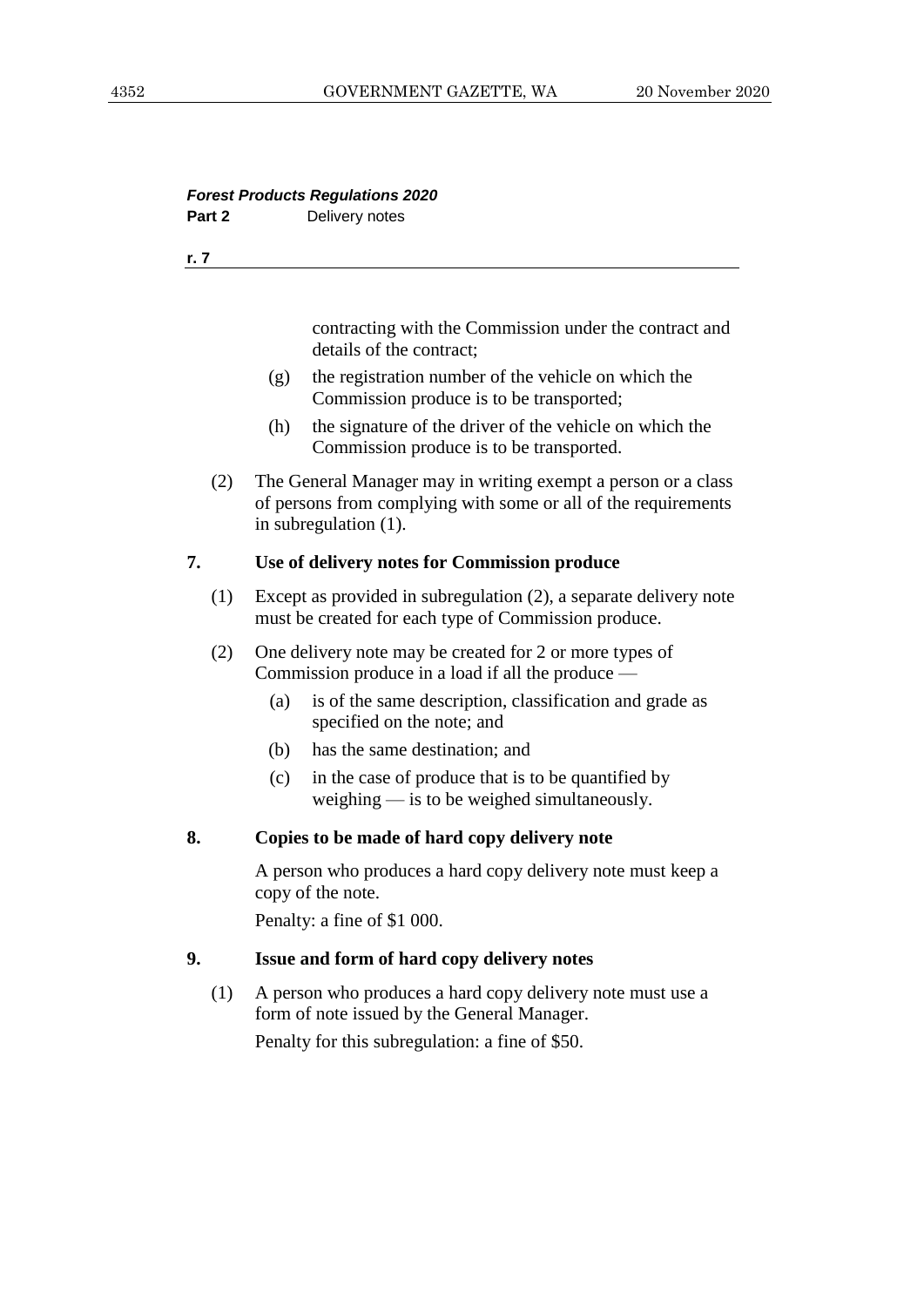## *Forest Products Regulations 2020* Part 2 Delivery notes

**r. 7**

contracting with the Commission under the contract and details of the contract;

- (g) the registration number of the vehicle on which the Commission produce is to be transported;
- (h) the signature of the driver of the vehicle on which the Commission produce is to be transported.
- (2) The General Manager may in writing exempt a person or a class of persons from complying with some or all of the requirements in subregulation (1).

## **7. Use of delivery notes for Commission produce**

- (1) Except as provided in subregulation (2), a separate delivery note must be created for each type of Commission produce.
- (2) One delivery note may be created for 2 or more types of Commission produce in a load if all the produce —
	- (a) is of the same description, classification and grade as specified on the note; and
	- (b) has the same destination; and
	- (c) in the case of produce that is to be quantified by weighing — is to be weighed simultaneously.

# **8. Copies to be made of hard copy delivery note**

A person who produces a hard copy delivery note must keep a copy of the note.

Penalty: a fine of \$1 000.

# **9. Issue and form of hard copy delivery notes**

(1) A person who produces a hard copy delivery note must use a form of note issued by the General Manager. Penalty for this subregulation: a fine of \$50.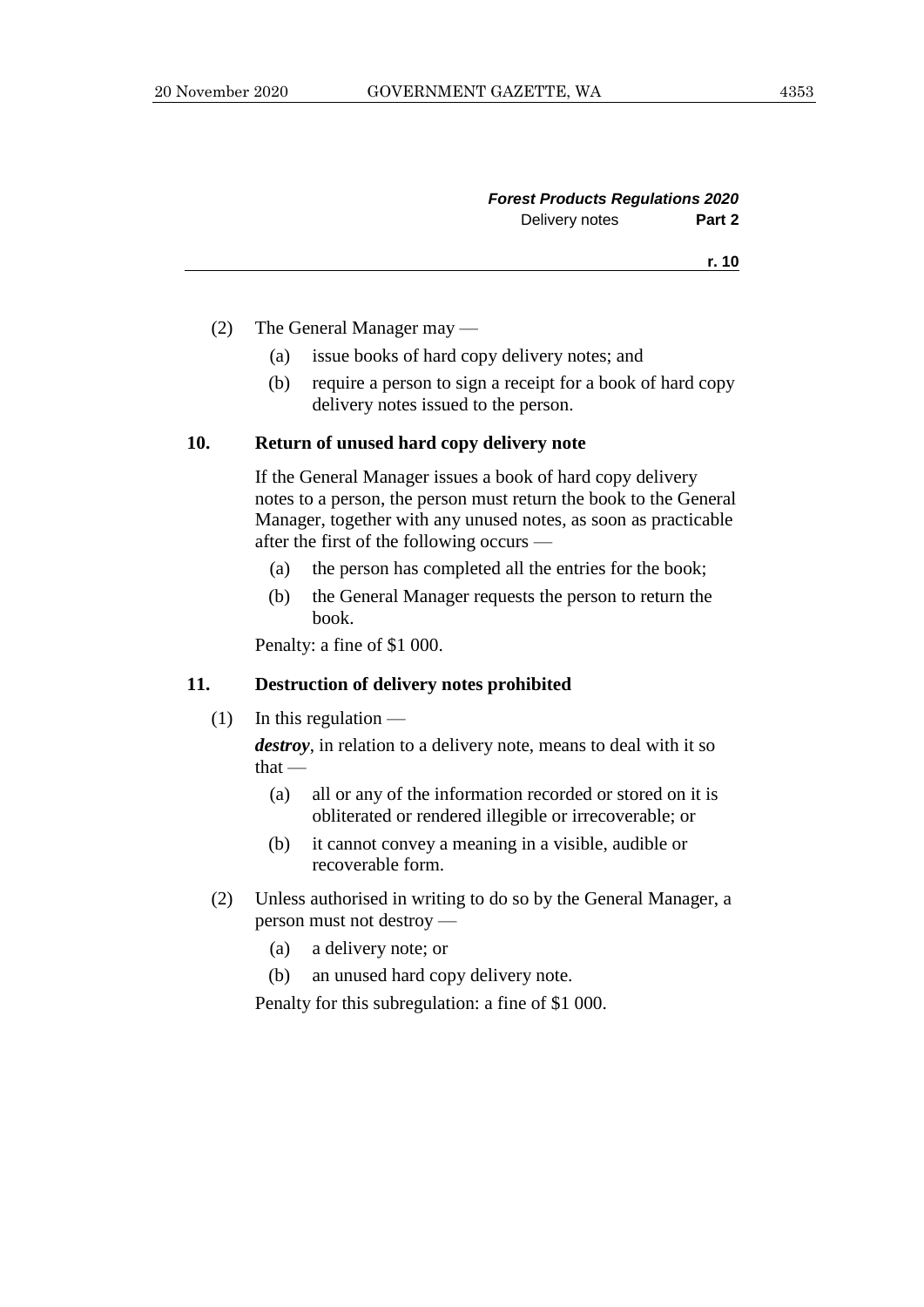| <b>Forest Products Regulations 2020</b> |        |
|-----------------------------------------|--------|
| Delivery notes                          | Part 2 |

- (2) The General Manager may
	- (a) issue books of hard copy delivery notes; and
	- (b) require a person to sign a receipt for a book of hard copy delivery notes issued to the person.

#### **10. Return of unused hard copy delivery note**

If the General Manager issues a book of hard copy delivery notes to a person, the person must return the book to the General Manager, together with any unused notes, as soon as practicable after the first of the following occurs —

- (a) the person has completed all the entries for the book;
- (b) the General Manager requests the person to return the book.

Penalty: a fine of \$1 000.

#### **11. Destruction of delivery notes prohibited**

 $(1)$  In this regulation —

*destroy*, in relation to a delivery note, means to deal with it so that —

- (a) all or any of the information recorded or stored on it is obliterated or rendered illegible or irrecoverable; or
- (b) it cannot convey a meaning in a visible, audible or recoverable form.
- (2) Unless authorised in writing to do so by the General Manager, a person must not destroy —
	- (a) a delivery note; or
	- (b) an unused hard copy delivery note.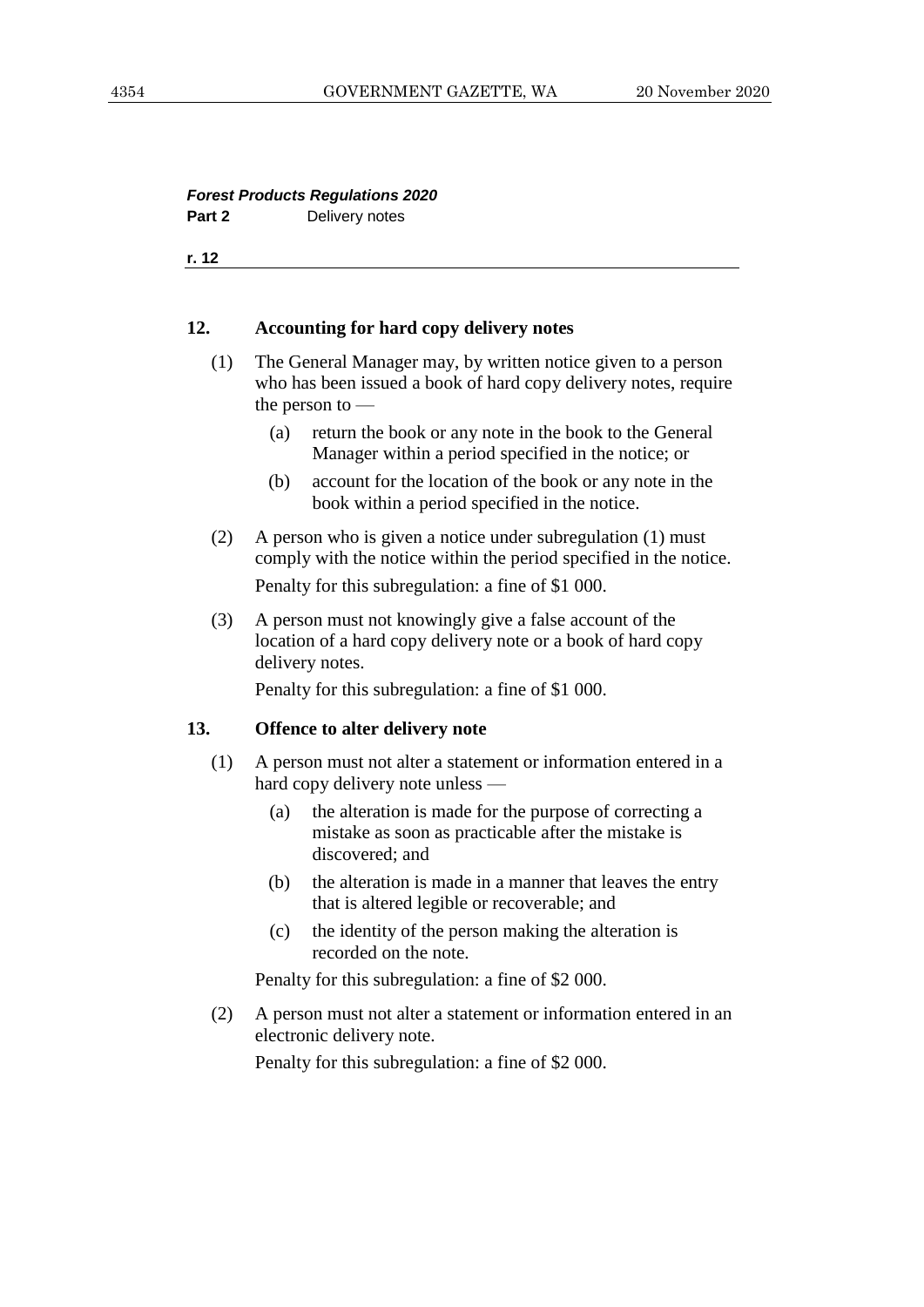#### *Forest Products Regulations 2020* Part 2 Delivery notes

**r. 12**

#### **12. Accounting for hard copy delivery notes**

- (1) The General Manager may, by written notice given to a person who has been issued a book of hard copy delivery notes, require the person to —
	- (a) return the book or any note in the book to the General Manager within a period specified in the notice; or
	- (b) account for the location of the book or any note in the book within a period specified in the notice.
- (2) A person who is given a notice under subregulation (1) must comply with the notice within the period specified in the notice.

Penalty for this subregulation: a fine of \$1 000.

(3) A person must not knowingly give a false account of the location of a hard copy delivery note or a book of hard copy delivery notes.

Penalty for this subregulation: a fine of \$1 000.

#### **13. Offence to alter delivery note**

- (1) A person must not alter a statement or information entered in a hard copy delivery note unless —
	- (a) the alteration is made for the purpose of correcting a mistake as soon as practicable after the mistake is discovered; and
	- (b) the alteration is made in a manner that leaves the entry that is altered legible or recoverable; and
	- (c) the identity of the person making the alteration is recorded on the note.

Penalty for this subregulation: a fine of \$2 000.

(2) A person must not alter a statement or information entered in an electronic delivery note.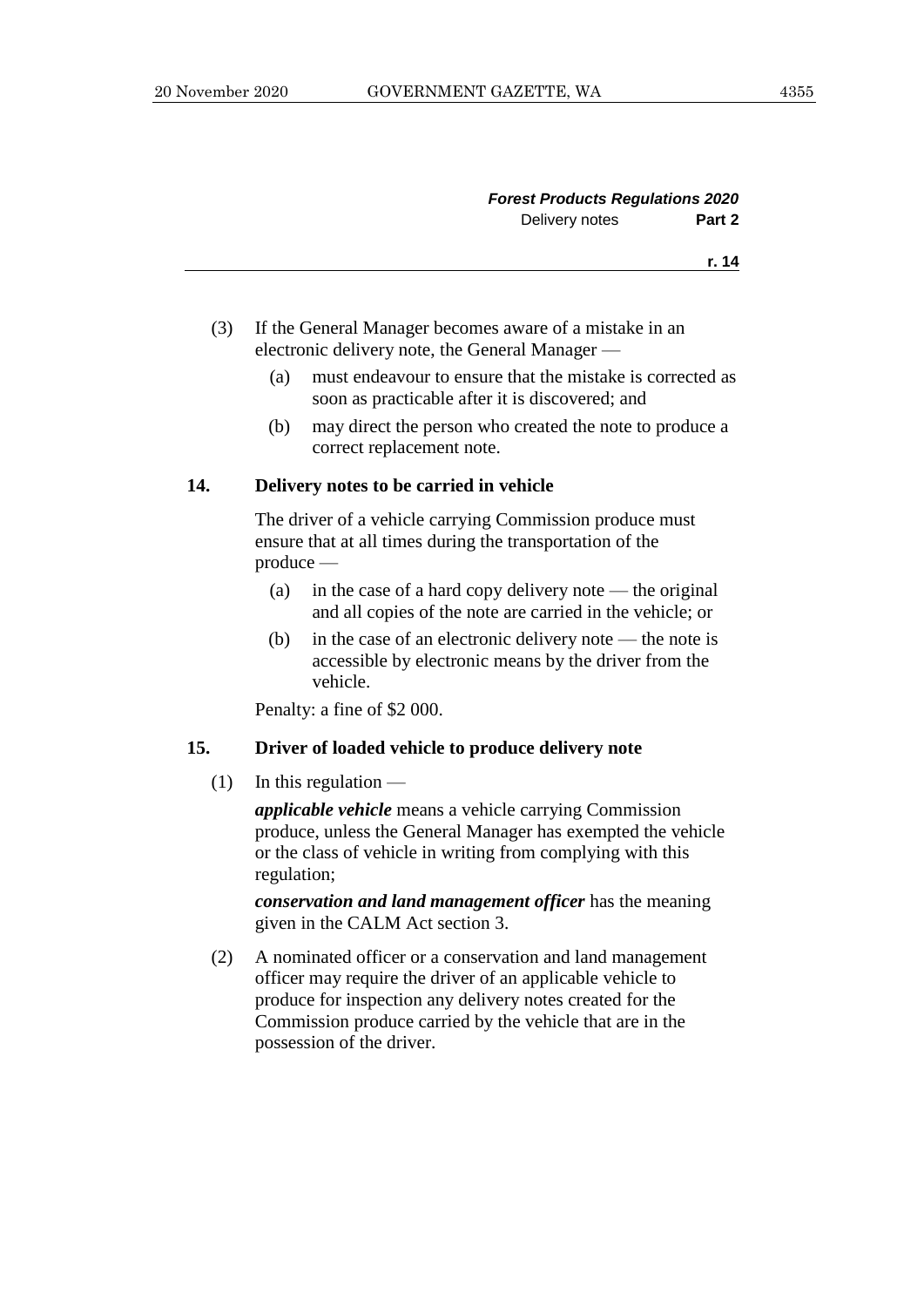| <b>Forest Products Regulations 2020</b> |                |
|-----------------------------------------|----------------|
| Part 2                                  | Delivery notes |
| r. 14                                   |                |

- (3) If the General Manager becomes aware of a mistake in an electronic delivery note, the General Manager —
	- (a) must endeavour to ensure that the mistake is corrected as soon as practicable after it is discovered; and
	- (b) may direct the person who created the note to produce a correct replacement note.

#### **14. Delivery notes to be carried in vehicle**

The driver of a vehicle carrying Commission produce must ensure that at all times during the transportation of the produce —

- (a) in the case of a hard copy delivery note the original and all copies of the note are carried in the vehicle; or
- (b) in the case of an electronic delivery note the note is accessible by electronic means by the driver from the vehicle.

Penalty: a fine of \$2 000.

#### **15. Driver of loaded vehicle to produce delivery note**

 $(1)$  In this regulation —

*applicable vehicle* means a vehicle carrying Commission produce, unless the General Manager has exempted the vehicle or the class of vehicle in writing from complying with this regulation;

*conservation and land management officer* has the meaning given in the CALM Act section 3.

(2) A nominated officer or a conservation and land management officer may require the driver of an applicable vehicle to produce for inspection any delivery notes created for the Commission produce carried by the vehicle that are in the possession of the driver.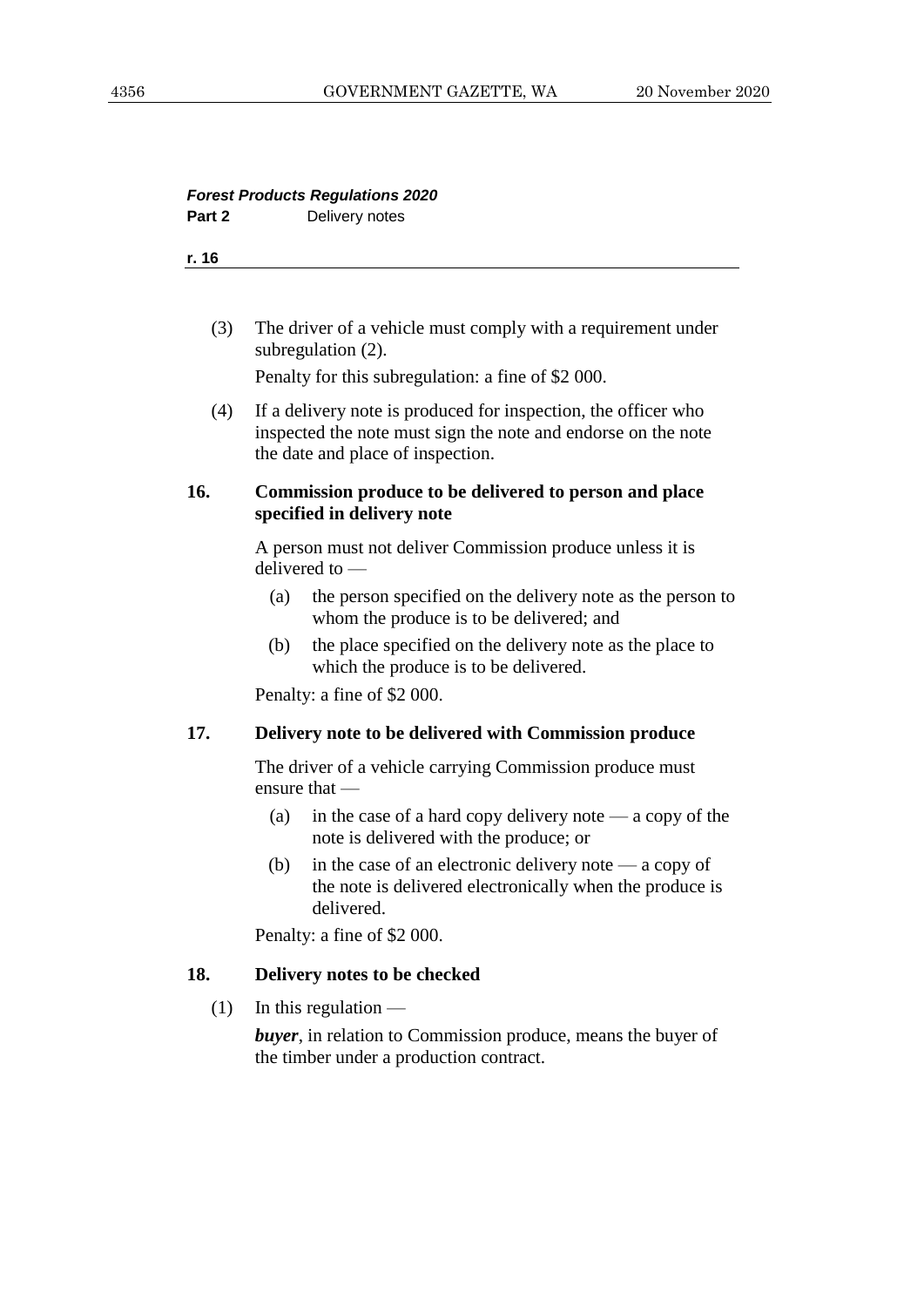#### *Forest Products Regulations 2020* **Part 2** Delivery notes

**r. 16**

| (3) | The driver of a vehicle must comply with a requirement under |
|-----|--------------------------------------------------------------|
|     | subregulation $(2)$ .                                        |

Penalty for this subregulation: a fine of \$2 000.

(4) If a delivery note is produced for inspection, the officer who inspected the note must sign the note and endorse on the note the date and place of inspection.

#### **16. Commission produce to be delivered to person and place specified in delivery note**

A person must not deliver Commission produce unless it is delivered to —

- (a) the person specified on the delivery note as the person to whom the produce is to be delivered; and
- (b) the place specified on the delivery note as the place to which the produce is to be delivered.

Penalty: a fine of \$2 000.

#### **17. Delivery note to be delivered with Commission produce**

The driver of a vehicle carrying Commission produce must ensure that —

- (a) in the case of a hard copy delivery note a copy of the note is delivered with the produce; or
- (b) in the case of an electronic delivery note a copy of the note is delivered electronically when the produce is delivered.

Penalty: a fine of \$2 000.

#### **18. Delivery notes to be checked**

 $(1)$  In this regulation —

*buyer*, in relation to Commission produce, means the buyer of the timber under a production contract.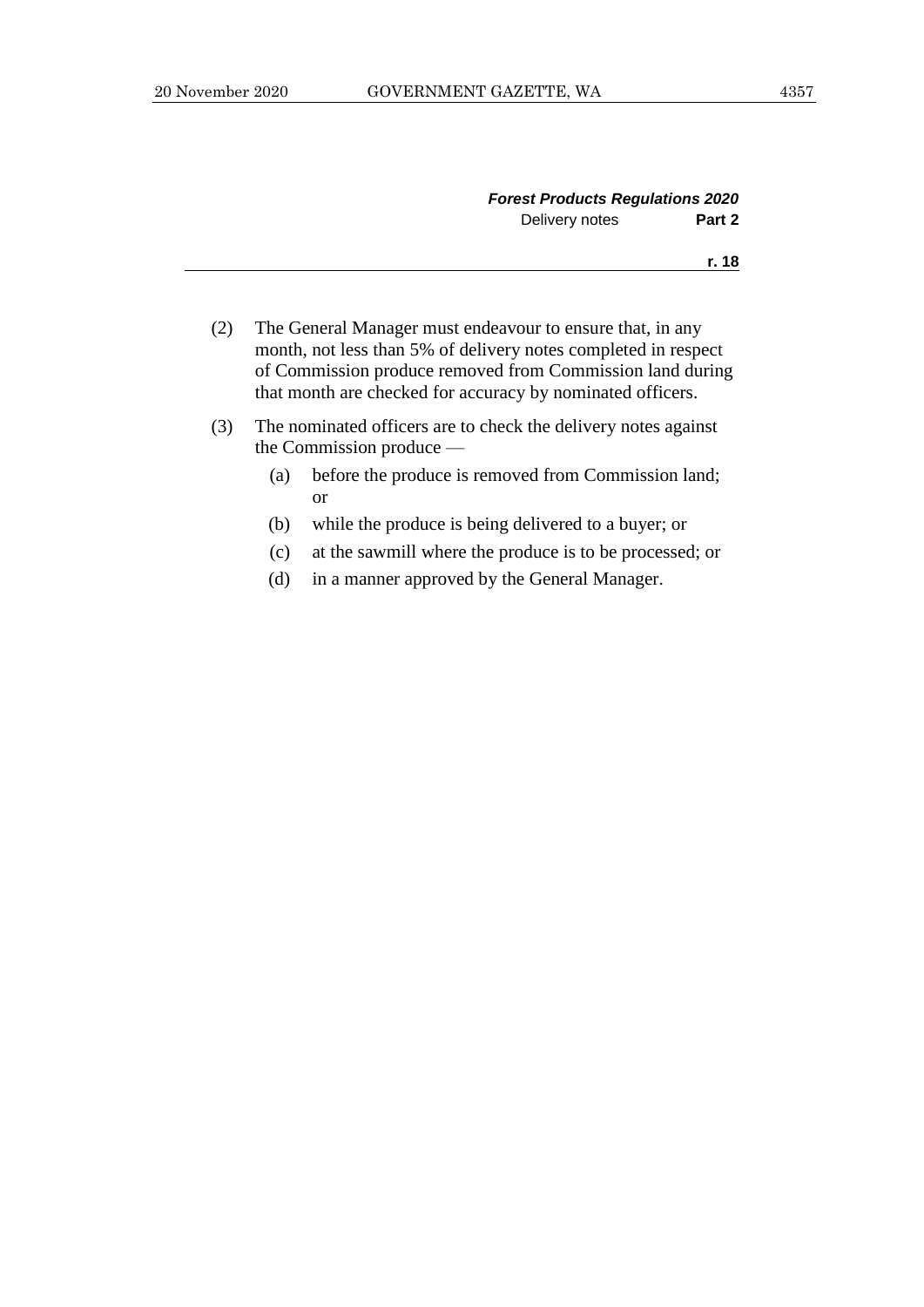|                | <b>Forest Products Regulations 2020</b> |  |
|----------------|-----------------------------------------|--|
| Delivery notes | Part 2                                  |  |
|                | r. 18                                   |  |
|                |                                         |  |

- (2) The General Manager must endeavour to ensure that, in any month, not less than 5% of delivery notes completed in respect of Commission produce removed from Commission land during that month are checked for accuracy by nominated officers.
- (3) The nominated officers are to check the delivery notes against the Commission produce —
	- (a) before the produce is removed from Commission land; or
	- (b) while the produce is being delivered to a buyer; or
	- (c) at the sawmill where the produce is to be processed; or
	- (d) in a manner approved by the General Manager.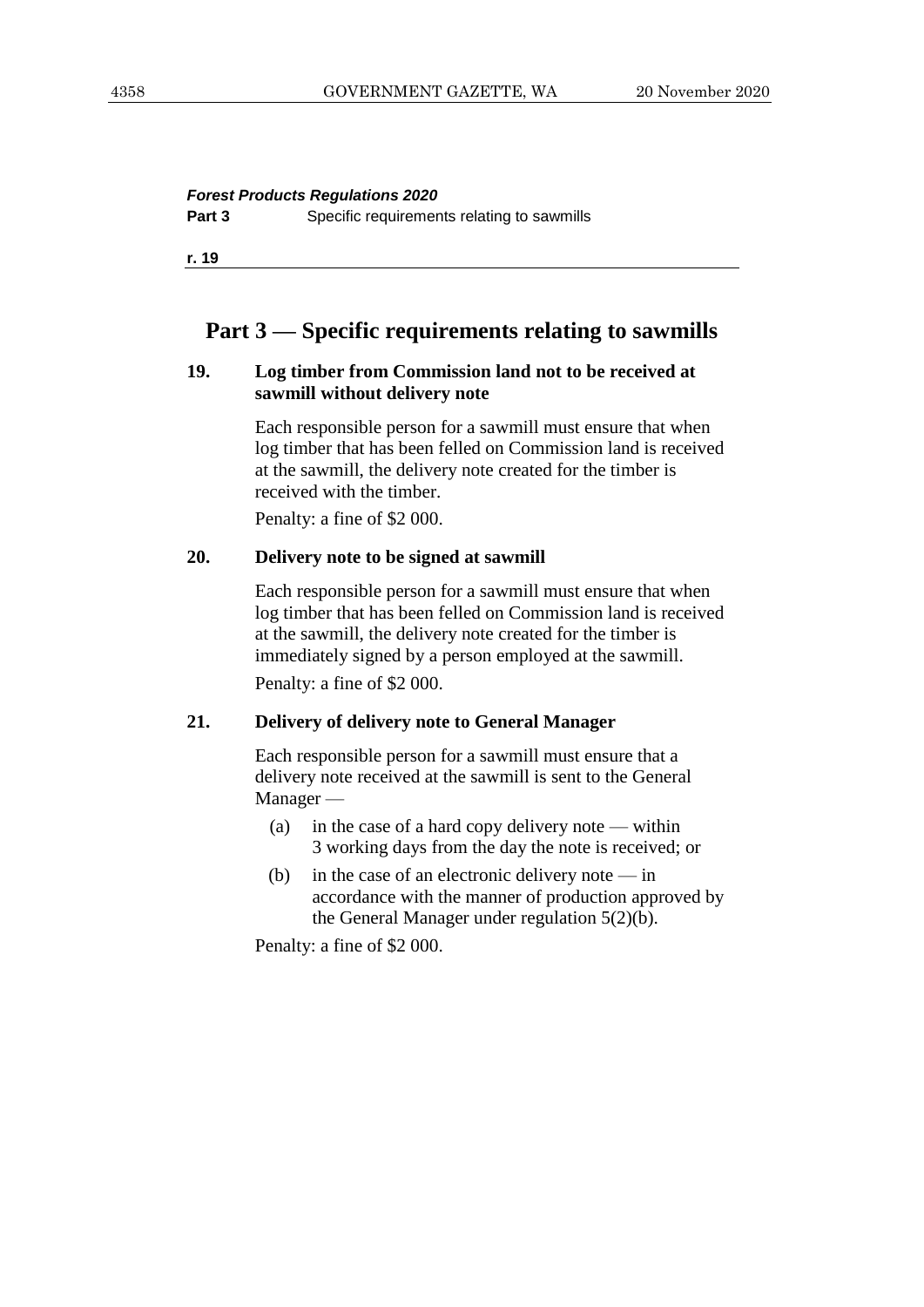#### *Forest Products Regulations 2020*

**Part 3** Specific requirements relating to sawmills

**r. 19**

# **Part 3 — Specific requirements relating to sawmills**

#### **19. Log timber from Commission land not to be received at sawmill without delivery note**

Each responsible person for a sawmill must ensure that when log timber that has been felled on Commission land is received at the sawmill, the delivery note created for the timber is received with the timber.

Penalty: a fine of \$2 000.

#### **20. Delivery note to be signed at sawmill**

Each responsible person for a sawmill must ensure that when log timber that has been felled on Commission land is received at the sawmill, the delivery note created for the timber is immediately signed by a person employed at the sawmill. Penalty: a fine of \$2 000.

#### **21. Delivery of delivery note to General Manager**

Each responsible person for a sawmill must ensure that a delivery note received at the sawmill is sent to the General Manager —

- (a) in the case of a hard copy delivery note within 3 working days from the day the note is received; or
- (b) in the case of an electronic delivery note  $-\text{in}$ accordance with the manner of production approved by the General Manager under regulation 5(2)(b).

Penalty: a fine of \$2 000.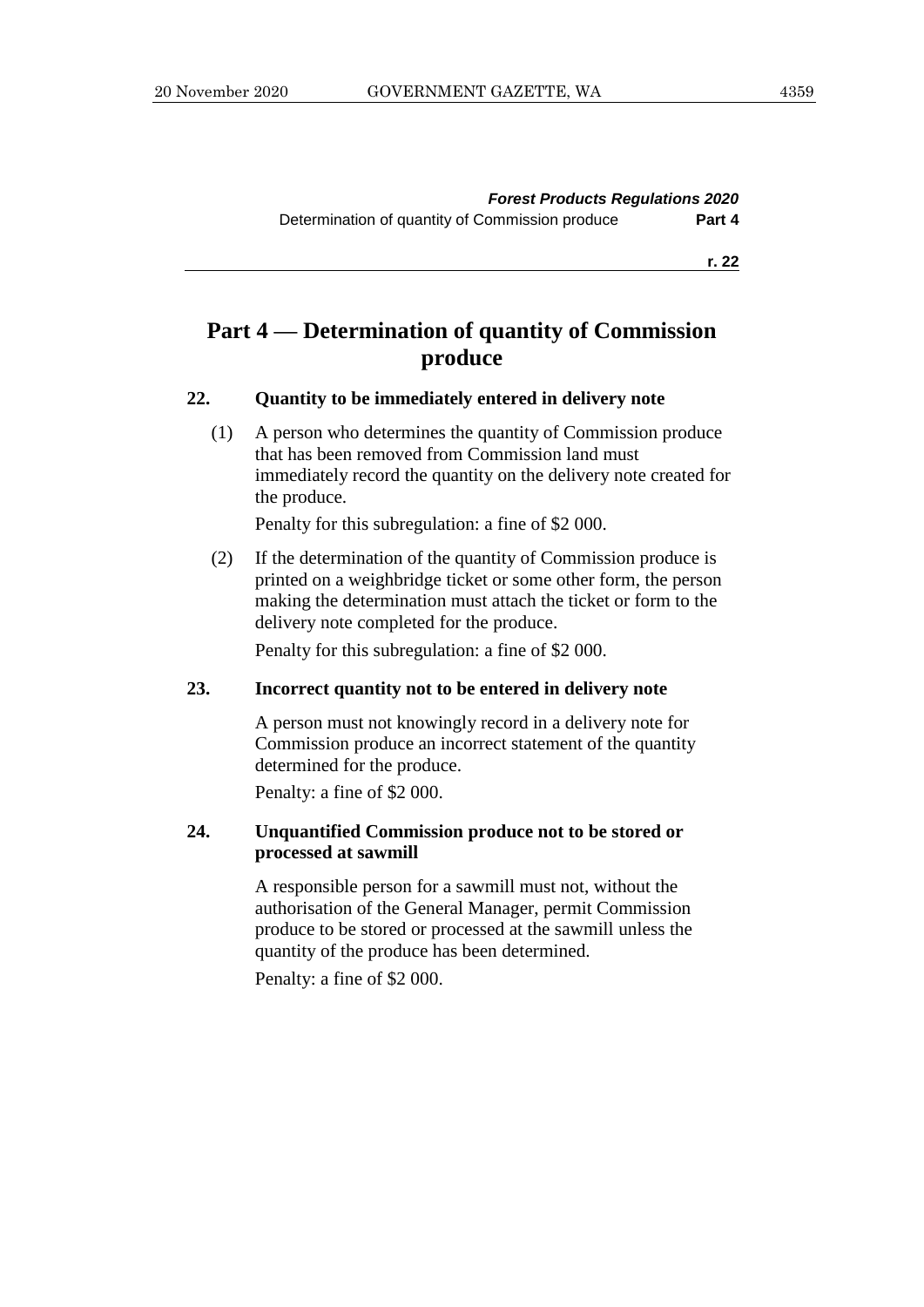# **Part 4 — Determination of quantity of Commission produce**

#### **22. Quantity to be immediately entered in delivery note**

(1) A person who determines the quantity of Commission produce that has been removed from Commission land must immediately record the quantity on the delivery note created for the produce.

Penalty for this subregulation: a fine of \$2 000.

(2) If the determination of the quantity of Commission produce is printed on a weighbridge ticket or some other form, the person making the determination must attach the ticket or form to the delivery note completed for the produce.

Penalty for this subregulation: a fine of \$2 000.

#### **23. Incorrect quantity not to be entered in delivery note**

A person must not knowingly record in a delivery note for Commission produce an incorrect statement of the quantity determined for the produce.

Penalty: a fine of \$2 000.

#### **24. Unquantified Commission produce not to be stored or processed at sawmill**

A responsible person for a sawmill must not, without the authorisation of the General Manager, permit Commission produce to be stored or processed at the sawmill unless the quantity of the produce has been determined.

Penalty: a fine of \$2 000.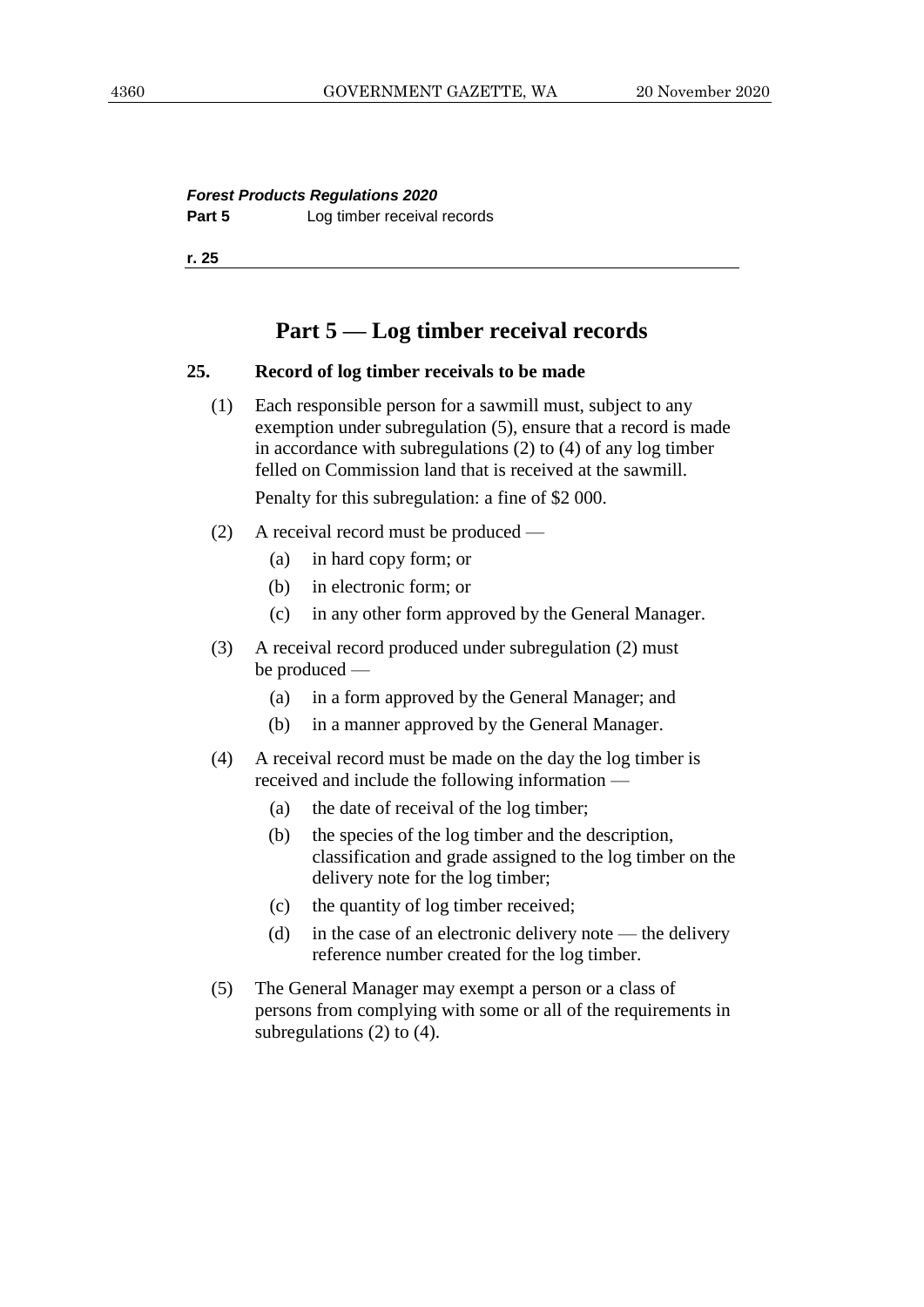*Forest Products Regulations 2020* **Part 5** Log timber receival records

**r. 25**

# **Part 5 — Log timber receival records**

#### **25. Record of log timber receivals to be made**

(1) Each responsible person for a sawmill must, subject to any exemption under subregulation (5), ensure that a record is made in accordance with subregulations (2) to (4) of any log timber felled on Commission land that is received at the sawmill.

- (2) A receival record must be produced
	- (a) in hard copy form; or
	- (b) in electronic form; or
	- (c) in any other form approved by the General Manager.
- (3) A receival record produced under subregulation (2) must be produced —
	- (a) in a form approved by the General Manager; and
	- (b) in a manner approved by the General Manager.
- (4) A receival record must be made on the day the log timber is received and include the following information —
	- (a) the date of receival of the log timber;
	- (b) the species of the log timber and the description, classification and grade assigned to the log timber on the delivery note for the log timber;
	- (c) the quantity of log timber received;
	- (d) in the case of an electronic delivery note the delivery reference number created for the log timber.
- (5) The General Manager may exempt a person or a class of persons from complying with some or all of the requirements in subregulations (2) to (4).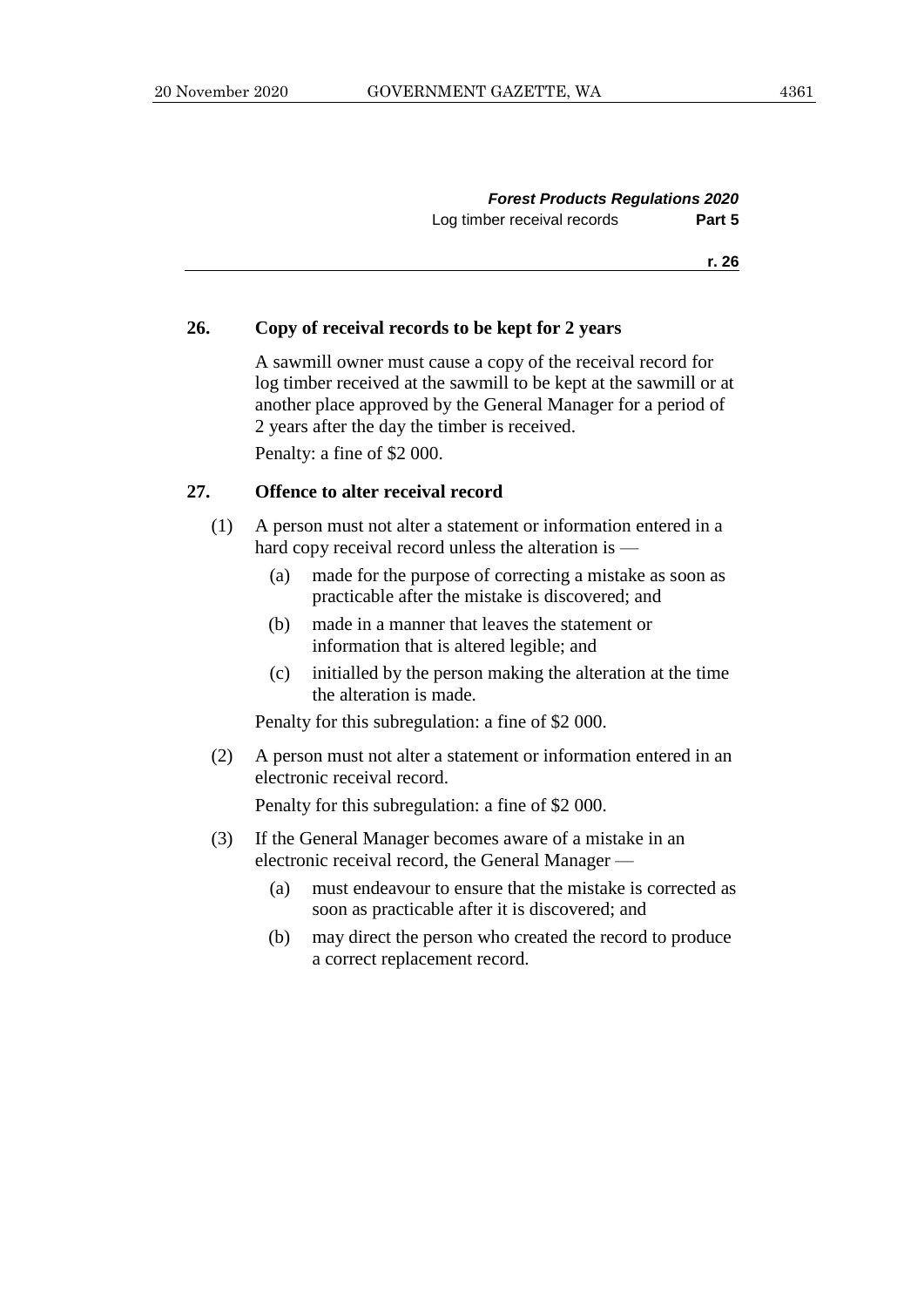| <b>Forest Products Regulations 2020</b> |        |
|-----------------------------------------|--------|
| Log timber receival records             | Part 5 |
|                                         |        |

#### **26. Copy of receival records to be kept for 2 years**

A sawmill owner must cause a copy of the receival record for log timber received at the sawmill to be kept at the sawmill or at another place approved by the General Manager for a period of 2 years after the day the timber is received.

Penalty: a fine of \$2 000.

#### **27. Offence to alter receival record**

- (1) A person must not alter a statement or information entered in a hard copy receival record unless the alteration is —
	- (a) made for the purpose of correcting a mistake as soon as practicable after the mistake is discovered; and
	- (b) made in a manner that leaves the statement or information that is altered legible; and
	- (c) initialled by the person making the alteration at the time the alteration is made.

Penalty for this subregulation: a fine of \$2 000.

(2) A person must not alter a statement or information entered in an electronic receival record.

- (3) If the General Manager becomes aware of a mistake in an electronic receival record, the General Manager —
	- (a) must endeavour to ensure that the mistake is corrected as soon as practicable after it is discovered; and
	- (b) may direct the person who created the record to produce a correct replacement record.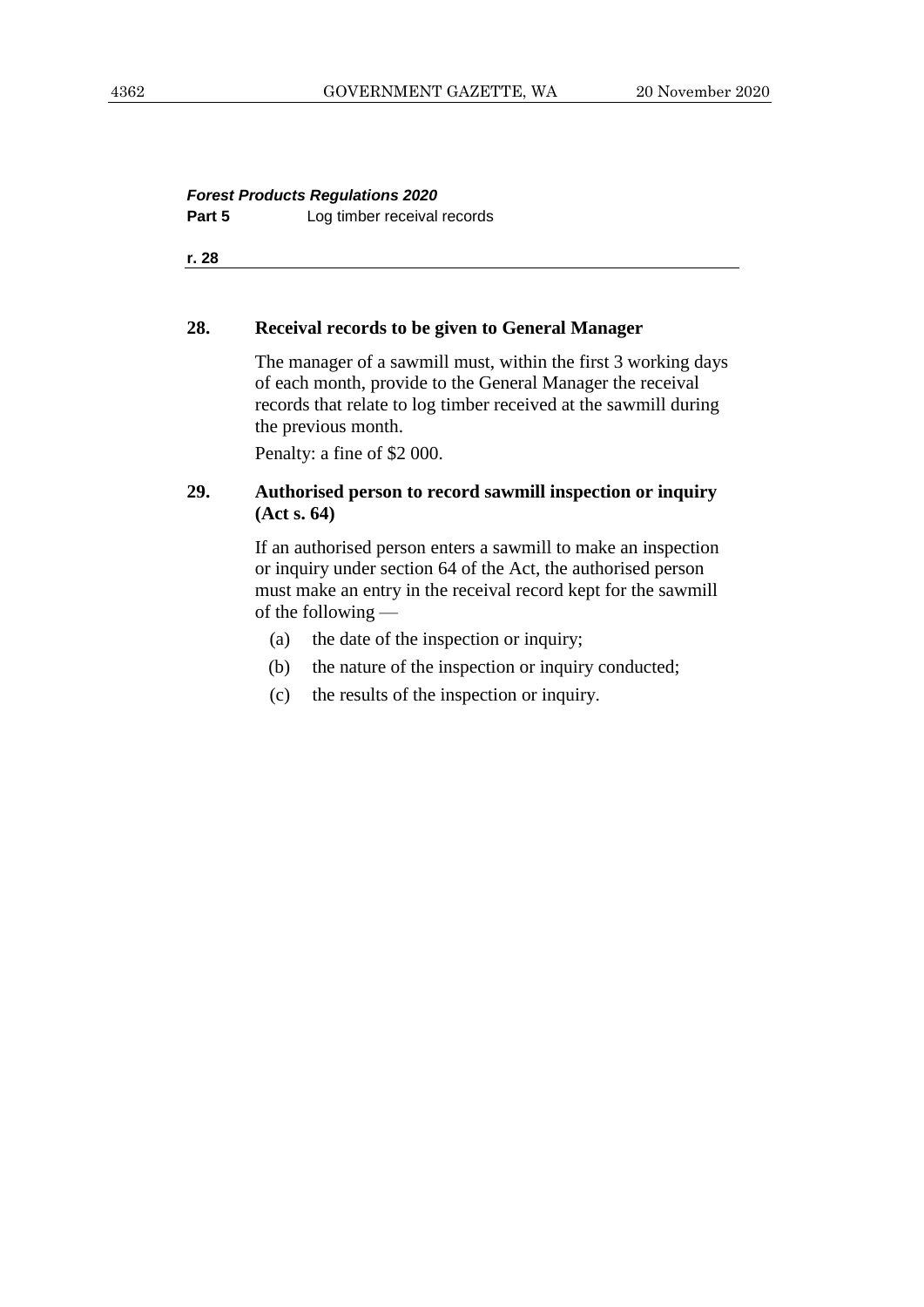# *Forest Products Regulations 2020* **Part 5** Log timber receival records

**r. 28**

#### **28. Receival records to be given to General Manager**

The manager of a sawmill must, within the first 3 working days of each month, provide to the General Manager the receival records that relate to log timber received at the sawmill during the previous month.

Penalty: a fine of \$2 000.

## **29. Authorised person to record sawmill inspection or inquiry (Act s. 64)**

If an authorised person enters a sawmill to make an inspection or inquiry under section 64 of the Act, the authorised person must make an entry in the receival record kept for the sawmill of the following —

- (a) the date of the inspection or inquiry;
- (b) the nature of the inspection or inquiry conducted;
- (c) the results of the inspection or inquiry.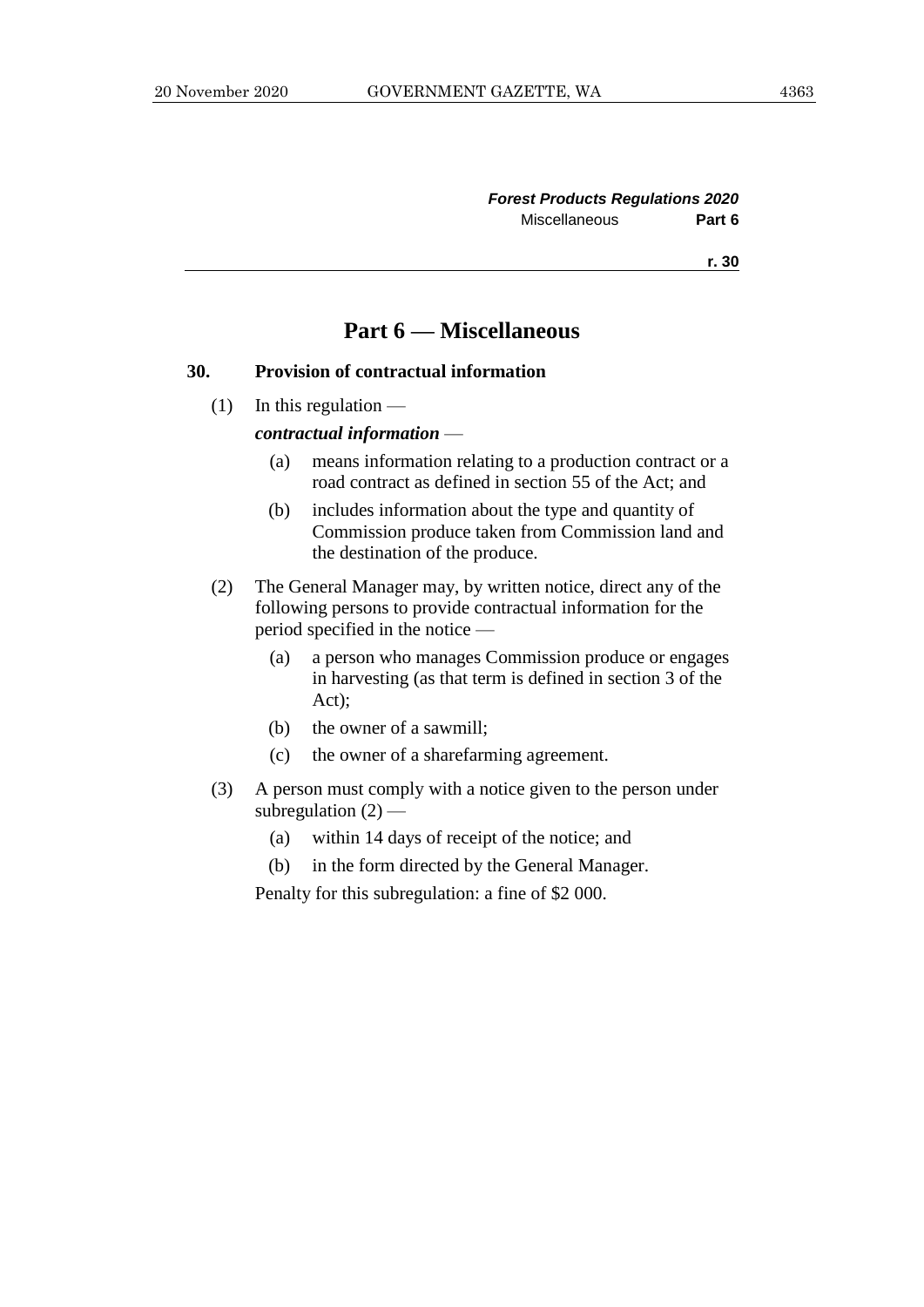#### *Forest Products Regulations 2020* Miscellaneous **Part 6**

**r. 30**

# **Part 6 — Miscellaneous**

#### **30. Provision of contractual information**

 $(1)$  In this regulation —

#### *contractual information* —

- (a) means information relating to a production contract or a road contract as defined in section 55 of the Act; and
- (b) includes information about the type and quantity of Commission produce taken from Commission land and the destination of the produce.
- (2) The General Manager may, by written notice, direct any of the following persons to provide contractual information for the period specified in the notice —
	- (a) a person who manages Commission produce or engages in harvesting (as that term is defined in section 3 of the Act);
	- (b) the owner of a sawmill;
	- (c) the owner of a sharefarming agreement.
- (3) A person must comply with a notice given to the person under subregulation  $(2)$  —
	- (a) within 14 days of receipt of the notice; and
	- (b) in the form directed by the General Manager.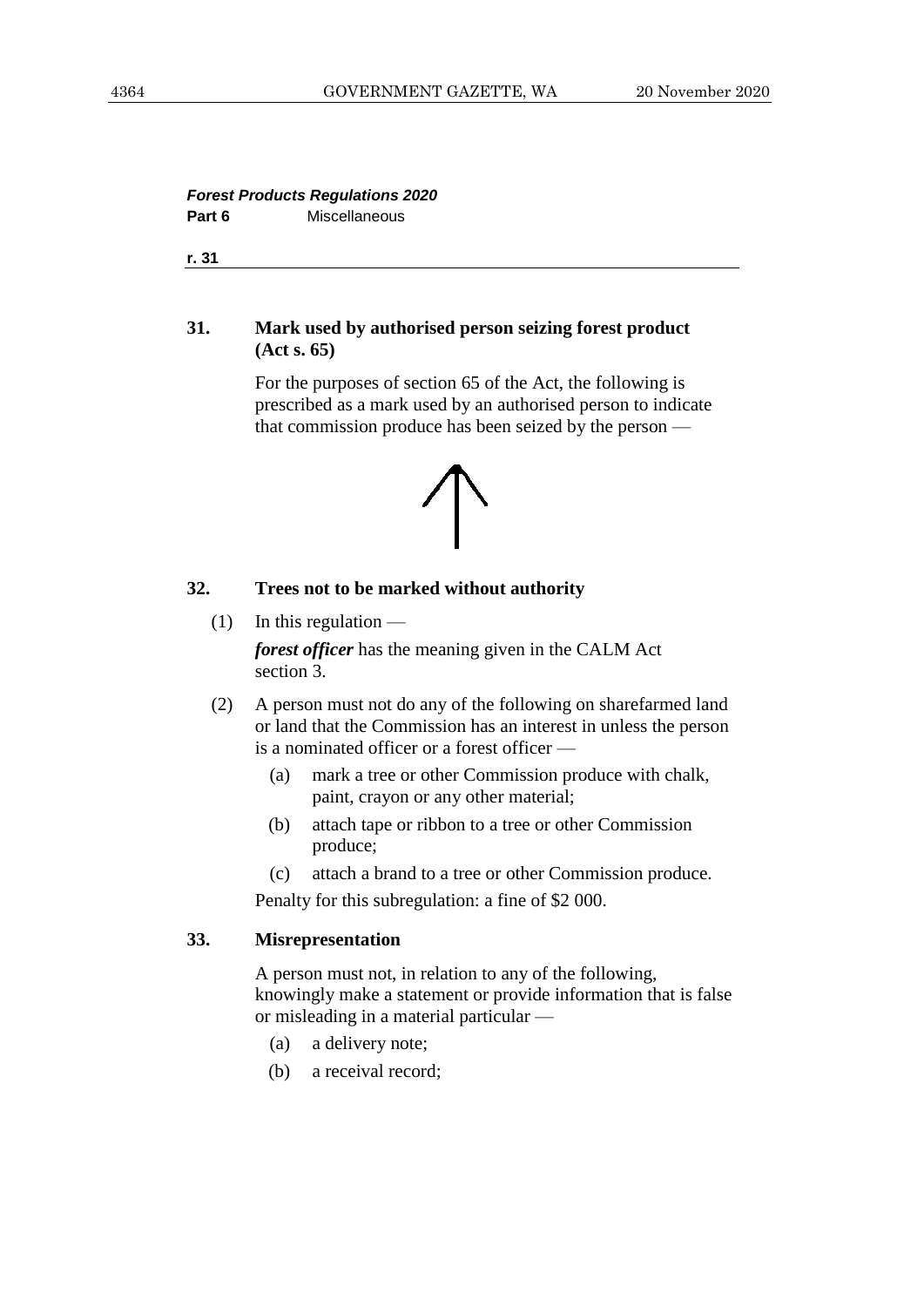#### *Forest Products Regulations 2020* Part 6 **Miscellaneous**

**r. 31**

#### **31. Mark used by authorised person seizing forest product (Act s. 65)**

For the purposes of section 65 of the Act, the following is prescribed as a mark used by an authorised person to indicate that commission produce has been seized by the person —



#### **32. Trees not to be marked without authority**

- $(1)$  In this regulation *forest officer* has the meaning given in the CALM Act section 3.
- (2) A person must not do any of the following on sharefarmed land or land that the Commission has an interest in unless the person is a nominated officer or a forest officer —
	- (a) mark a tree or other Commission produce with chalk, paint, crayon or any other material;
	- (b) attach tape or ribbon to a tree or other Commission produce;
	- (c) attach a brand to a tree or other Commission produce.

Penalty for this subregulation: a fine of \$2 000.

#### **33. Misrepresentation**

A person must not, in relation to any of the following, knowingly make a statement or provide information that is false or misleading in a material particular —

- (a) a delivery note;
- (b) a receival record;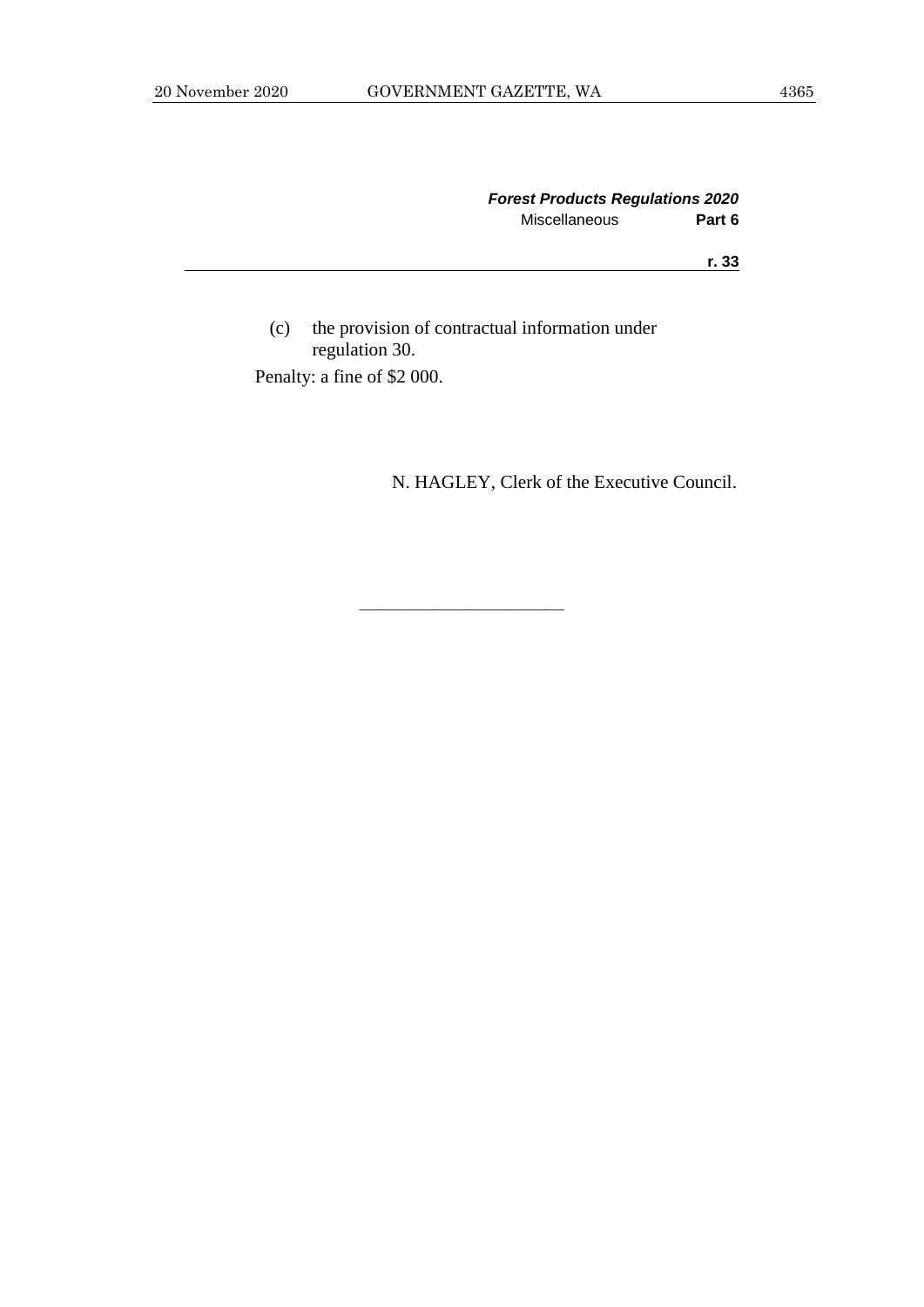|               | <b>Forest Products Regulations 2020</b> |  |
|---------------|-----------------------------------------|--|
| Miscellaneous | Part 6                                  |  |
|               | r. 33                                   |  |
|               |                                         |  |

(c) the provision of contractual information under regulation 30. Penalty: a fine of \$2 000.

N. HAGLEY, Clerk of the Executive Council.

———————————